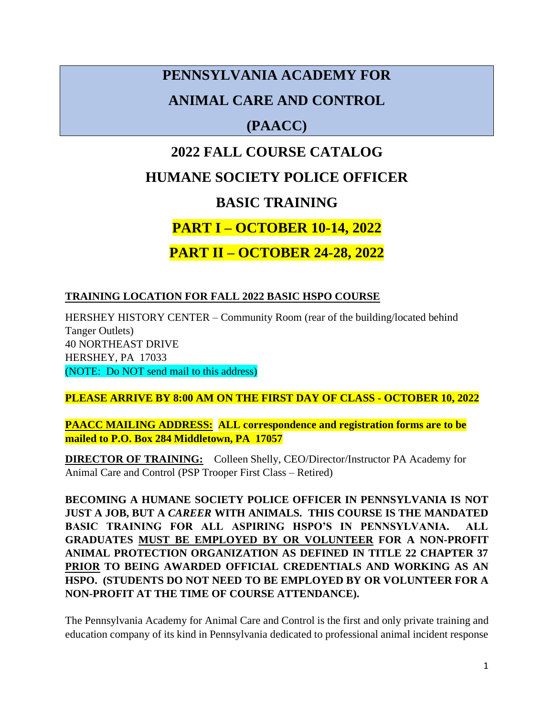# **PENNSYLVANIA ACADEMY FOR ANIMAL CARE AND CONTROL**

## **(PAACC)**

## **2022 FALL COURSE CATALOG**

## **HUMANE SOCIETY POLICE OFFICER**

## **BASIC TRAINING**

## **PART I – OCTOBER 10-14, 2022**

## **PART II – OCTOBER 24-28, 2022**

## **TRAINING LOCATION FOR FALL 2022 BASIC HSPO COURSE**

HERSHEY HISTORY CENTER – Community Room (rear of the building/located behind Tanger Outlets) 40 NORTHEAST DRIVE HERSHEY, PA 17033 (NOTE: Do NOT send mail to this address)

**PLEASE ARRIVE BY 8:00 AM ON THE FIRST DAY OF CLASS - OCTOBER 10, 2022**

**PAACC MAILING ADDRESS: ALL correspondence and registration forms are to be mailed to P.O. Box 284 Middletown, PA 17057**

**DIRECTOR OF TRAINING:** Colleen Shelly, CEO/Director/Instructor PA Academy for Animal Care and Control (PSP Trooper First Class – Retired)

**BECOMING A HUMANE SOCIETY POLICE OFFICER IN PENNSYLVANIA IS NOT JUST A JOB, BUT A** *CAREER* **WITH ANIMALS. THIS COURSE IS THE MANDATED BASIC TRAINING FOR ALL ASPIRING HSPO'S IN PENNSYLVANIA. ALL GRADUATES MUST BE EMPLOYED BY OR VOLUNTEER FOR A NON-PROFIT ANIMAL PROTECTION ORGANIZATION AS DEFINED IN TITLE 22 CHAPTER 37 PRIOR TO BEING AWARDED OFFICIAL CREDENTIALS AND WORKING AS AN HSPO. (STUDENTS DO NOT NEED TO BE EMPLOYED BY OR VOLUNTEER FOR A NON-PROFIT AT THE TIME OF COURSE ATTENDANCE).**

The Pennsylvania Academy for Animal Care and Control is the first and only private training and education company of its kind in Pennsylvania dedicated to professional animal incident response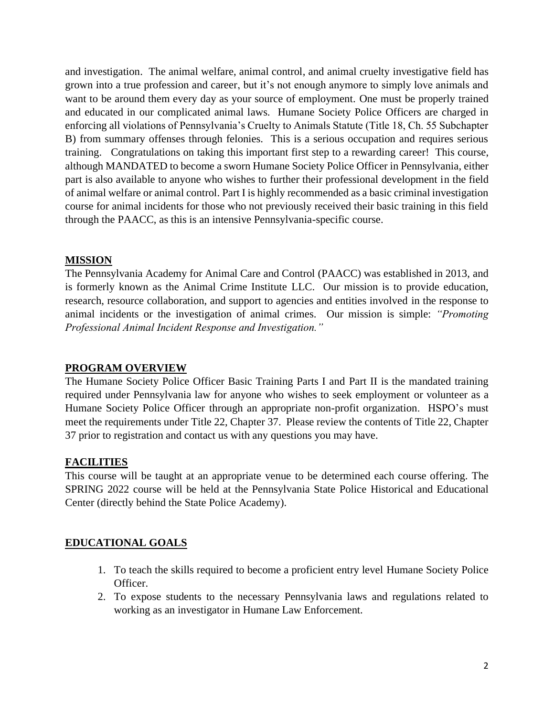and investigation. The animal welfare, animal control, and animal cruelty investigative field has grown into a true profession and career, but it's not enough anymore to simply love animals and want to be around them every day as your source of employment. One must be properly trained and educated in our complicated animal laws. Humane Society Police Officers are charged in enforcing all violations of Pennsylvania's Cruelty to Animals Statute (Title 18, Ch. 55 Subchapter B) from summary offenses through felonies. This is a serious occupation and requires serious training. Congratulations on taking this important first step to a rewarding career! This course, although MANDATED to become a sworn Humane Society Police Officer in Pennsylvania, either part is also available to anyone who wishes to further their professional development in the field of animal welfare or animal control. Part I is highly recommended as a basic criminal investigation course for animal incidents for those who not previously received their basic training in this field through the PAACC, as this is an intensive Pennsylvania-specific course.

#### **MISSION**

The Pennsylvania Academy for Animal Care and Control (PAACC) was established in 2013, and is formerly known as the Animal Crime Institute LLC. Our mission is to provide education, research, resource collaboration, and support to agencies and entities involved in the response to animal incidents or the investigation of animal crimes. Our mission is simple: *"Promoting Professional Animal Incident Response and Investigation."* 

#### **PROGRAM OVERVIEW**

The Humane Society Police Officer Basic Training Parts I and Part II is the mandated training required under Pennsylvania law for anyone who wishes to seek employment or volunteer as a Humane Society Police Officer through an appropriate non-profit organization. HSPO's must meet the requirements under Title 22, Chapter 37. Please review the contents of Title 22, Chapter 37 prior to registration and contact us with any questions you may have.

#### **FACILITIES**

This course will be taught at an appropriate venue to be determined each course offering. The SPRING 2022 course will be held at the Pennsylvania State Police Historical and Educational Center (directly behind the State Police Academy).

## **EDUCATIONAL GOALS**

- 1. To teach the skills required to become a proficient entry level Humane Society Police Officer.
- 2. To expose students to the necessary Pennsylvania laws and regulations related to working as an investigator in Humane Law Enforcement.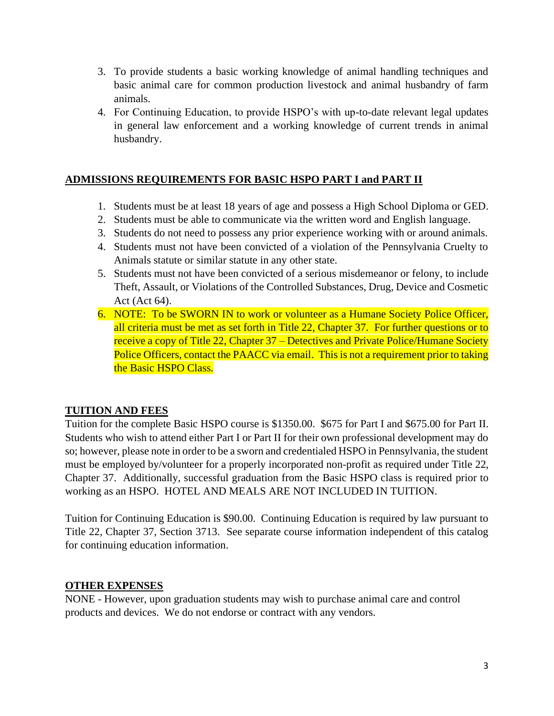- 3. To provide students a basic working knowledge of animal handling techniques and basic animal care for common production livestock and animal husbandry of farm animals.
- 4. For Continuing Education, to provide HSPO's with up-to-date relevant legal updates in general law enforcement and a working knowledge of current trends in animal husbandry.

### **ADMISSIONS REQUIREMENTS FOR BASIC HSPO PART I and PART II**

- 1. Students must be at least 18 years of age and possess a High School Diploma or GED.
- 2. Students must be able to communicate via the written word and English language.
- 3. Students do not need to possess any prior experience working with or around animals.
- 4. Students must not have been convicted of a violation of the Pennsylvania Cruelty to Animals statute or similar statute in any other state.
- 5. Students must not have been convicted of a serious misdemeanor or felony, to include Theft, Assault, or Violations of the Controlled Substances, Drug, Device and Cosmetic Act (Act 64).
- 6. NOTE: To be SWORN IN to work or volunteer as a Humane Society Police Officer, all criteria must be met as set forth in Title 22, Chapter 37. For further questions or to receive a copy of Title 22, Chapter 37 – Detectives and Private Police/Humane Society Police Officers, contact the PAACC via email. This is not a requirement prior to taking the Basic HSPO Class.

## **TUITION AND FEES**

Tuition for the complete Basic HSPO course is \$1350.00. \$675 for Part I and \$675.00 for Part II. Students who wish to attend either Part I or Part II for their own professional development may do so; however, please note in order to be a sworn and credentialed HSPO in Pennsylvania, the student must be employed by/volunteer for a properly incorporated non-profit as required under Title 22, Chapter 37. Additionally, successful graduation from the Basic HSPO class is required prior to working as an HSPO. HOTEL AND MEALS ARE NOT INCLUDED IN TUITION.

Tuition for Continuing Education is \$90.00. Continuing Education is required by law pursuant to Title 22, Chapter 37, Section 3713. See separate course information independent of this catalog for continuing education information.

## **OTHER EXPENSES**

NONE - However, upon graduation students may wish to purchase animal care and control products and devices. We do not endorse or contract with any vendors.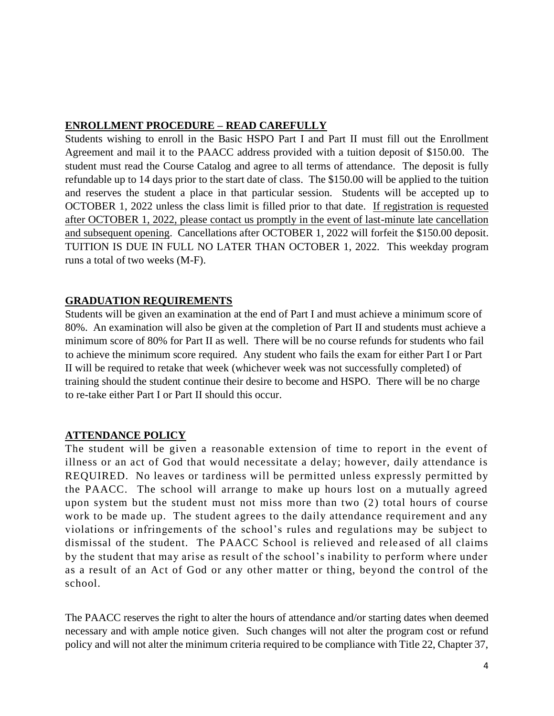#### **ENROLLMENT PROCEDURE – READ CAREFULLY**

Students wishing to enroll in the Basic HSPO Part I and Part II must fill out the Enrollment Agreement and mail it to the PAACC address provided with a tuition deposit of \$150.00. The student must read the Course Catalog and agree to all terms of attendance. The deposit is fully refundable up to 14 days prior to the start date of class. The \$150.00 will be applied to the tuition and reserves the student a place in that particular session. Students will be accepted up to OCTOBER 1, 2022 unless the class limit is filled prior to that date. If registration is requested after OCTOBER 1, 2022, please contact us promptly in the event of last-minute late cancellation and subsequent opening. Cancellations after OCTOBER 1, 2022 will forfeit the \$150.00 deposit. TUITION IS DUE IN FULL NO LATER THAN OCTOBER 1, 2022. This weekday program runs a total of two weeks (M-F).

## **GRADUATION REQUIREMENTS**

Students will be given an examination at the end of Part I and must achieve a minimum score of 80%. An examination will also be given at the completion of Part II and students must achieve a minimum score of 80% for Part II as well. There will be no course refunds for students who fail to achieve the minimum score required. Any student who fails the exam for either Part I or Part II will be required to retake that week (whichever week was not successfully completed) of training should the student continue their desire to become and HSPO. There will be no charge to re-take either Part I or Part II should this occur.

## **ATTENDANCE POLICY**

The student will be given a reasonable extension of time to report in the event of illness or an act of God that would necessitate a delay; however, daily attendance is REQUIRED. No leaves or tardiness will be permitted unless expressly permitted by the PAACC. The school will arrange to make up hours lost on a mutually agreed upon system but the student must not miss more than two (2) total hours of course work to be made up. The student agrees to the daily attendance requirement and any violations or infringements of the school's rules and regulations may be subject to dismissal of the student. The PAACC School is relieved and rele ased of all claims by the student that may arise as result of the school's inability to perform where under as a result of an Act of God or any other matter or thing, beyond the control of the school.

The PAACC reserves the right to alter the hours of attendance and/or starting dates when deemed necessary and with ample notice given. Such changes will not alter the program cost or refund policy and will not alter the minimum criteria required to be compliance with Title 22, Chapter 37,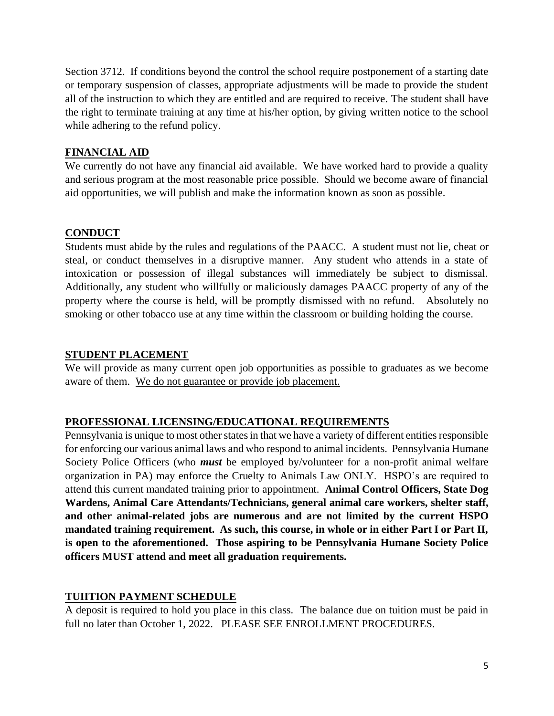Section 3712. If conditions beyond the control the school require postponement of a starting date or temporary suspension of classes, appropriate adjustments will be made to provide the student all of the instruction to which they are entitled and are required to receive. The student shall have the right to terminate training at any time at his/her option, by giving written notice to the school while adhering to the refund policy.

### **FINANCIAL AID**

We currently do not have any financial aid available. We have worked hard to provide a quality and serious program at the most reasonable price possible. Should we become aware of financial aid opportunities, we will publish and make the information known as soon as possible.

### **CONDUCT**

Students must abide by the rules and regulations of the PAACC. A student must not lie, cheat or steal, or conduct themselves in a disruptive manner. Any student who attends in a state of intoxication or possession of illegal substances will immediately be subject to dismissal. Additionally, any student who willfully or maliciously damages PAACC property of any of the property where the course is held, will be promptly dismissed with no refund. Absolutely no smoking or other tobacco use at any time within the classroom or building holding the course.

### **STUDENT PLACEMENT**

We will provide as many current open job opportunities as possible to graduates as we become aware of them. We do not guarantee or provide job placement.

## **PROFESSIONAL LICENSING/EDUCATIONAL REQUIREMENTS**

Pennsylvania is unique to most other states in that we have a variety of different entities responsible for enforcing our various animal laws and who respond to animal incidents. Pennsylvania Humane Society Police Officers (who *must* be employed by/volunteer for a non-profit animal welfare organization in PA) may enforce the Cruelty to Animals Law ONLY. HSPO's are required to attend this current mandated training prior to appointment. **Animal Control Officers, State Dog Wardens, Animal Care Attendants/Technicians, general animal care workers, shelter staff, and other animal-related jobs are numerous and are not limited by the current HSPO mandated training requirement. As such, this course, in whole or in either Part I or Part II, is open to the aforementioned. Those aspiring to be Pennsylvania Humane Society Police officers MUST attend and meet all graduation requirements.** 

#### **TUIITION PAYMENT SCHEDULE**

A deposit is required to hold you place in this class. The balance due on tuition must be paid in full no later than October 1, 2022. PLEASE SEE ENROLLMENT PROCEDURES.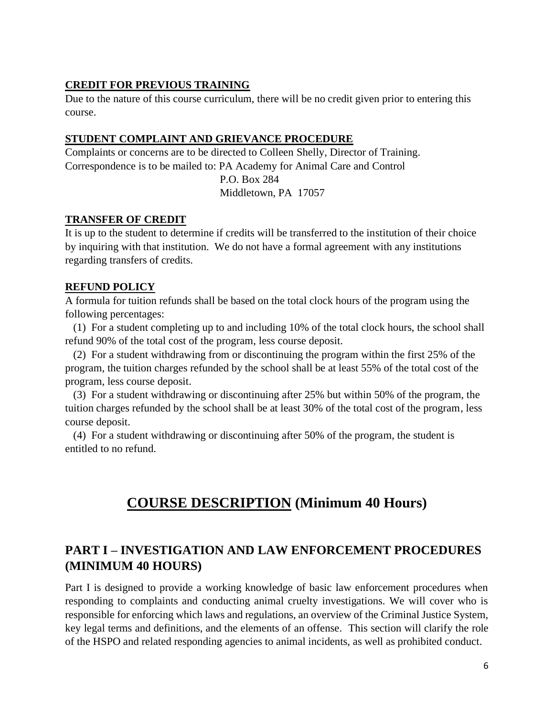#### **CREDIT FOR PREVIOUS TRAINING**

Due to the nature of this course curriculum, there will be no credit given prior to entering this course.

#### **STUDENT COMPLAINT AND GRIEVANCE PROCEDURE**

Complaints or concerns are to be directed to Colleen Shelly, Director of Training. Correspondence is to be mailed to: PA Academy for Animal Care and Control

> P.O. Box 284 Middletown, PA 17057

#### **TRANSFER OF CREDIT**

It is up to the student to determine if credits will be transferred to the institution of their choice by inquiring with that institution. We do not have a formal agreement with any institutions regarding transfers of credits.

#### **REFUND POLICY**

A formula for tuition refunds shall be based on the total clock hours of the program using the following percentages:

 (1) For a student completing up to and including 10% of the total clock hours, the school shall refund 90% of the total cost of the program, less course deposit.

 (2) For a student withdrawing from or discontinuing the program within the first 25% of the program, the tuition charges refunded by the school shall be at least 55% of the total cost of the program, less course deposit.

 (3) For a student withdrawing or discontinuing after 25% but within 50% of the program, the tuition charges refunded by the school shall be at least 30% of the total cost of the program, less course deposit.

 (4) For a student withdrawing or discontinuing after 50% of the program, the student is entitled to no refund.

## **COURSE DESCRIPTION (Minimum 40 Hours)**

## **PART I – INVESTIGATION AND LAW ENFORCEMENT PROCEDURES (MINIMUM 40 HOURS)**

Part I is designed to provide a working knowledge of basic law enforcement procedures when responding to complaints and conducting animal cruelty investigations. We will cover who is responsible for enforcing which laws and regulations, an overview of the Criminal Justice System, key legal terms and definitions, and the elements of an offense. This section will clarify the role of the HSPO and related responding agencies to animal incidents, as well as prohibited conduct.